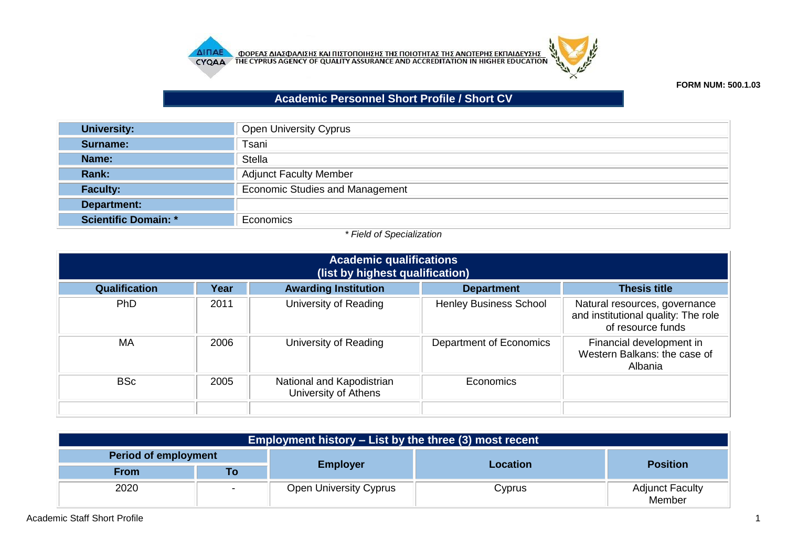



## **FORM NUM: 500.1.03**

## **Academic Personnel Short Profile / Short CV**

| <b>University:</b>          | Open University Cyprus                 |
|-----------------------------|----------------------------------------|
| Surname:                    | Tsani                                  |
| Name:                       | <b>Stella</b>                          |
| Rank:                       | <b>Adjunct Faculty Member</b>          |
| <b>Faculty:</b>             | <b>Economic Studies and Management</b> |
| Department:                 |                                        |
| <b>Scientific Domain: *</b> | Economics                              |

## *\* Field of Specialization*

| <b>Academic qualifications</b><br>(list by highest qualification) |      |                                                   |                               |                                                                                           |
|-------------------------------------------------------------------|------|---------------------------------------------------|-------------------------------|-------------------------------------------------------------------------------------------|
| <b>Qualification</b>                                              | Year | <b>Awarding Institution</b>                       | <b>Department</b>             | <b>Thesis title</b>                                                                       |
| <b>PhD</b>                                                        | 2011 | University of Reading                             | <b>Henley Business School</b> | Natural resources, governance<br>and institutional quality: The role<br>of resource funds |
| MA                                                                | 2006 | University of Reading                             | Department of Economics       | Financial development in<br>Western Balkans: the case of<br>Albania                       |
| <b>BSc</b>                                                        | 2005 | National and Kapodistrian<br>University of Athens | Economics                     |                                                                                           |
|                                                                   |      |                                                   |                               |                                                                                           |

| <b>Employment history – List by the three (3) most recent</b> |    |                               |          |                                  |  |
|---------------------------------------------------------------|----|-------------------------------|----------|----------------------------------|--|
| <b>Period of employment</b>                                   |    |                               |          |                                  |  |
| From                                                          | Го | <b>Employer</b>               | Location | <b>Position</b>                  |  |
| 2020                                                          |    | <b>Open University Cyprus</b> | Cyprus   | <b>Adjunct Faculty</b><br>Member |  |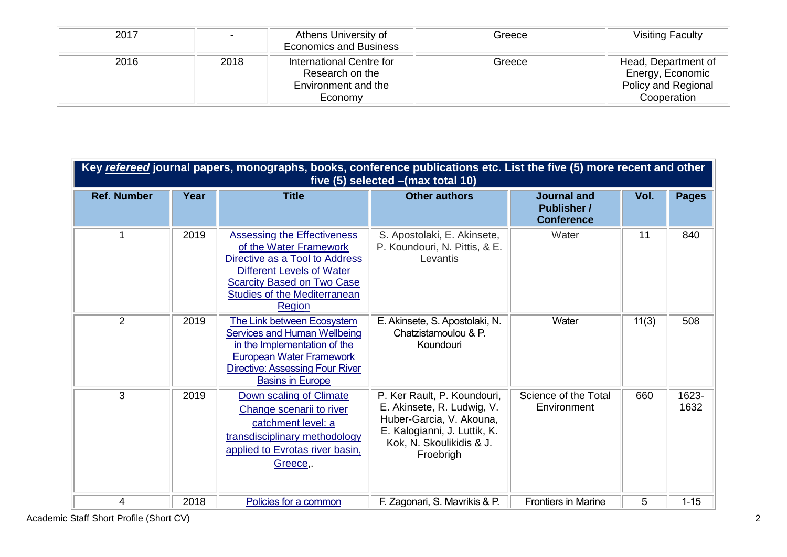| 2017 | -    | Athens University of<br><b>Economics and Business</b>                         | Greece | <b>Visiting Faculty</b>                                                       |
|------|------|-------------------------------------------------------------------------------|--------|-------------------------------------------------------------------------------|
| 2016 | 2018 | International Centre for<br>Research on the<br>Environment and the<br>Economy | Greece | Head, Department of<br>Energy, Economic<br>Policy and Regional<br>Cooperation |

|                    | Key refereed journal papers, monographs, books, conference publications etc. List the five (5) more recent and other<br>five (5) selected - (max total 10) |                                                                                                                                                                                                                          |                                                                                                                                                                |                                                               |       |               |  |
|--------------------|------------------------------------------------------------------------------------------------------------------------------------------------------------|--------------------------------------------------------------------------------------------------------------------------------------------------------------------------------------------------------------------------|----------------------------------------------------------------------------------------------------------------------------------------------------------------|---------------------------------------------------------------|-------|---------------|--|
| <b>Ref. Number</b> | Year                                                                                                                                                       | <b>Title</b>                                                                                                                                                                                                             | <b>Other authors</b>                                                                                                                                           | <b>Journal and</b><br><b>Publisher /</b><br><b>Conference</b> | Vol.  | <b>Pages</b>  |  |
| 1                  | 2019                                                                                                                                                       | <b>Assessing the Effectiveness</b><br>of the Water Framework<br>Directive as a Tool to Address<br><b>Different Levels of Water</b><br><b>Scarcity Based on Two Case</b><br><b>Studies of the Mediterranean</b><br>Region | S. Apostolaki, E. Akinsete,<br>P. Koundouri, N. Pittis, & E.<br>Levantis                                                                                       | Water                                                         | 11    | 840           |  |
| $\overline{2}$     | 2019                                                                                                                                                       | The Link between Ecosystem<br>Services and Human Wellbeing<br>in the Implementation of the<br><b>European Water Framework</b><br><b>Directive: Assessing Four River</b><br><b>Basins in Europe</b>                       | E. Akinsete, S. Apostolaki, N.<br>Chatzistamoulou & P.<br>Koundouri                                                                                            | Water                                                         | 11(3) | 508           |  |
| 3                  | 2019                                                                                                                                                       | Down scaling of Climate<br>Change scenarii to river<br>catchment level: a<br>transdisciplinary methodology<br>applied to Evrotas river basin,<br>Greece,.                                                                | P. Ker Rault, P. Koundouri,<br>E. Akinsete, R. Ludwig, V.<br>Huber-Garcia, V. Akouna,<br>E. Kalogianni, J. Luttik, K.<br>Kok, N. Skoulikidis & J.<br>Froebrigh | Science of the Total<br>Environment                           | 660   | 1623-<br>1632 |  |
| 4                  | 2018                                                                                                                                                       | Policies for a common                                                                                                                                                                                                    | F. Zagonari, S. Mavrikis & P.                                                                                                                                  | <b>Frontiers in Marine</b>                                    | 5     | $1 - 15$      |  |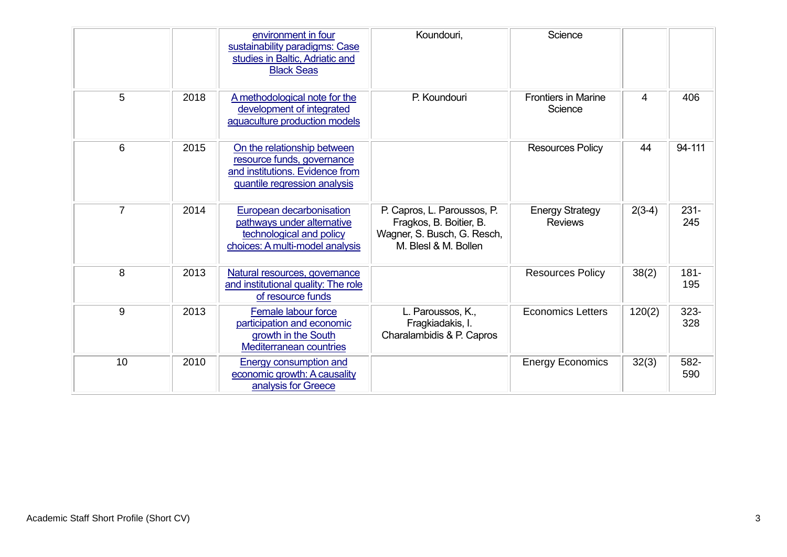|                |      | environment in four<br>sustainability paradigms: Case<br>studies in Baltic, Adriatic and<br><b>Black Seas</b>                | Koundouri,                                                                                                    | Science                                  |          |                |
|----------------|------|------------------------------------------------------------------------------------------------------------------------------|---------------------------------------------------------------------------------------------------------------|------------------------------------------|----------|----------------|
| 5              | 2018 | A methodological note for the<br>development of integrated<br>aquaculture production models                                  | P. Koundouri                                                                                                  | <b>Frontiers in Marine</b><br>Science    | 4        | 406            |
| 6              | 2015 | On the relationship between<br>resource funds, governance<br>and institutions. Evidence from<br>quantile regression analysis |                                                                                                               | <b>Resources Policy</b>                  | 44       | 94-111         |
| $\overline{7}$ | 2014 | European decarbonisation<br>pathways under alternative<br>technological and policy<br>choices: A multi-model analysis        | P. Capros, L. Paroussos, P.<br>Fragkos, B. Boitier, B.<br>Wagner, S. Busch, G. Resch,<br>M. Blesl & M. Bollen | <b>Energy Strategy</b><br><b>Reviews</b> | $2(3-4)$ | $231 -$<br>245 |
| 8              | 2013 | Natural resources, governance<br>and institutional quality: The role<br>of resource funds                                    |                                                                                                               | <b>Resources Policy</b>                  | 38(2)    | $181 -$<br>195 |
| 9              | 2013 | Female labour force<br>participation and economic<br>growth in the South<br><b>Mediterranean countries</b>                   | L. Paroussos, K.,<br>Fragkiadakis, I.<br>Charalambidis & P. Capros                                            | <b>Economics Letters</b>                 | 120(2)   | 323-<br>328    |
| 10             | 2010 | Energy consumption and<br>economic growth: A causality<br>analysis for Greece                                                |                                                                                                               | <b>Energy Economics</b>                  | 32(3)    | 582-<br>590    |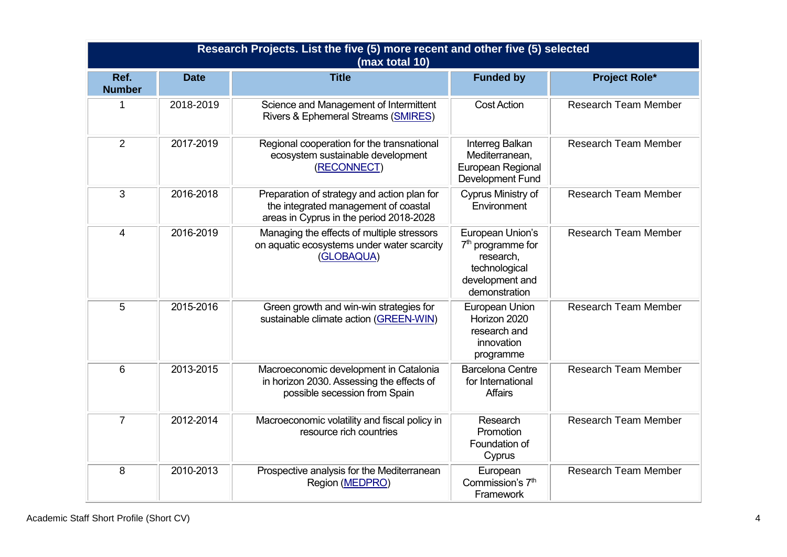|                       | Research Projects. List the five (5) more recent and other five (5) selected<br>(max total 10) |                                                                                                                                |                                                                                                                     |                             |  |  |  |
|-----------------------|------------------------------------------------------------------------------------------------|--------------------------------------------------------------------------------------------------------------------------------|---------------------------------------------------------------------------------------------------------------------|-----------------------------|--|--|--|
| Ref.<br><b>Number</b> | <b>Date</b>                                                                                    | <b>Title</b>                                                                                                                   | <b>Funded by</b>                                                                                                    | <b>Project Role*</b>        |  |  |  |
| 1                     | 2018-2019                                                                                      | Science and Management of Intermittent<br>Rivers & Ephemeral Streams (SMIRES)                                                  | Cost Action                                                                                                         | <b>Research Team Member</b> |  |  |  |
| 2                     | 2017-2019                                                                                      | Regional cooperation for the transnational<br>ecosystem sustainable development<br>(RECONNECT)                                 | Interreg Balkan<br>Mediterranean,<br>European Regional<br>Development Fund                                          | <b>Research Team Member</b> |  |  |  |
| 3                     | 2016-2018                                                                                      | Preparation of strategy and action plan for<br>the integrated management of coastal<br>areas in Cyprus in the period 2018-2028 | Cyprus Ministry of<br>Environment                                                                                   | <b>Research Team Member</b> |  |  |  |
| $\overline{4}$        | 2016-2019                                                                                      | Managing the effects of multiple stressors<br>on aquatic ecosystems under water scarcity<br>(GLOBAQUA)                         | European Union's<br>7 <sup>th</sup> programme for<br>research,<br>technological<br>development and<br>demonstration | <b>Research Team Member</b> |  |  |  |
| 5                     | 2015-2016                                                                                      | Green growth and win-win strategies for<br>sustainable climate action (GREEN-WIN)                                              | European Union<br>Horizon 2020<br>research and<br>innovation<br>programme                                           | <b>Research Team Member</b> |  |  |  |
| 6                     | 2013-2015                                                                                      | Macroeconomic development in Catalonia<br>in horizon 2030. Assessing the effects of<br>possible secession from Spain           | <b>Barcelona Centre</b><br>for International<br><b>Affairs</b>                                                      | <b>Research Team Member</b> |  |  |  |
| $\overline{7}$        | 2012-2014                                                                                      | Macroeconomic volatility and fiscal policy in<br>resource rich countries                                                       | Research<br>Promotion<br>Foundation of<br>Cyprus                                                                    | <b>Research Team Member</b> |  |  |  |
| 8                     | 2010-2013                                                                                      | Prospective analysis for the Mediterranean<br>Region (MEDPRO)                                                                  | European<br>Commission's 7 <sup>th</sup><br>Framework                                                               | <b>Research Team Member</b> |  |  |  |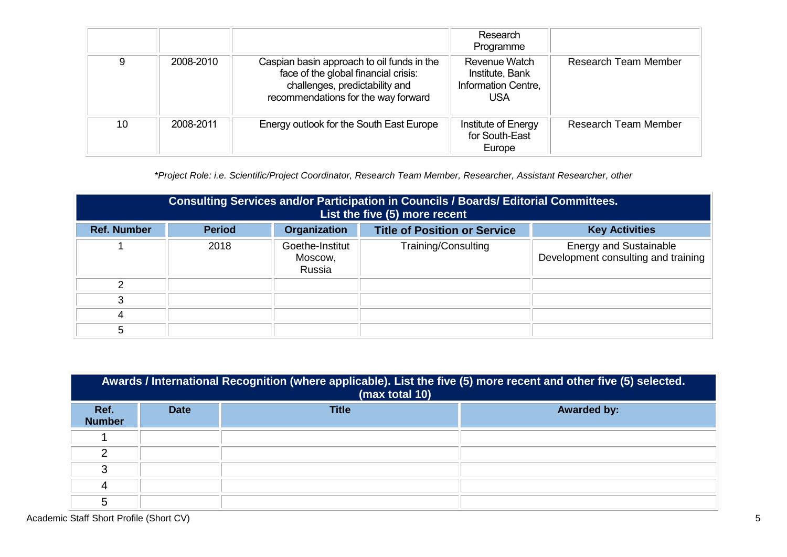|    |           |                                                                                                                                                             | Research<br>Programme                                                 |                             |
|----|-----------|-------------------------------------------------------------------------------------------------------------------------------------------------------------|-----------------------------------------------------------------------|-----------------------------|
| 9  | 2008-2010 | Caspian basin approach to oil funds in the<br>face of the global financial crisis:<br>challenges, predictability and<br>recommendations for the way forward | Revenue Watch<br>Institute, Bank<br>Information Centre,<br><b>USA</b> | <b>Research Team Member</b> |
| 10 | 2008-2011 | Energy outlook for the South East Europe                                                                                                                    | Institute of Energy<br>for South-East<br>Europe                       | <b>Research Team Member</b> |

*\*Project Role: i.e. Scientific/Project Coordinator, Research Team Member, Researcher, Assistant Researcher, other*

|                    | Consulting Services and/or Participation in Councils / Boards/ Editorial Committees.<br>List the five (5) more recent |                                      |                                     |                                                                      |
|--------------------|-----------------------------------------------------------------------------------------------------------------------|--------------------------------------|-------------------------------------|----------------------------------------------------------------------|
| <b>Ref. Number</b> | <b>Period</b>                                                                                                         | Organization                         | <b>Title of Position or Service</b> | <b>Key Activities</b>                                                |
|                    | 2018                                                                                                                  | Goethe-Institut<br>Moscow,<br>Russia | Training/Consulting                 | <b>Energy and Sustainable</b><br>Development consulting and training |
| ⌒                  |                                                                                                                       |                                      |                                     |                                                                      |
| 3                  |                                                                                                                       |                                      |                                     |                                                                      |
| 4                  |                                                                                                                       |                                      |                                     |                                                                      |
| 5                  |                                                                                                                       |                                      |                                     |                                                                      |

|                       | Awards / International Recognition (where applicable). List the five (5) more recent and other five (5) selected.<br>(max total 10) |              |                    |  |  |  |
|-----------------------|-------------------------------------------------------------------------------------------------------------------------------------|--------------|--------------------|--|--|--|
| Ref.<br><b>Number</b> | <b>Date</b>                                                                                                                         | <b>Title</b> | <b>Awarded by:</b> |  |  |  |
|                       |                                                                                                                                     |              |                    |  |  |  |
| ◠                     |                                                                                                                                     |              |                    |  |  |  |
| 3                     |                                                                                                                                     |              |                    |  |  |  |
| 4                     |                                                                                                                                     |              |                    |  |  |  |
| 5                     |                                                                                                                                     |              |                    |  |  |  |